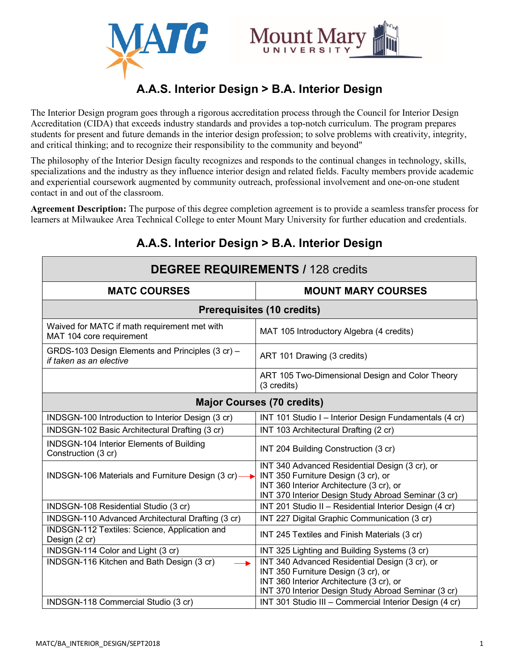

# **A.A.S. Interior Design > B.A. Interior Design**

The Interior Design program goes through a rigorous accreditation process through the Council for Interior Design Accreditation (CIDA) that exceeds industry standards and provides a top-notch curriculum. The program prepares students for present and future demands in the interior design profession; to solve problems with creativity, integrity, and critical thinking; and to recognize their responsibility to the community and beyond"

The philosophy of the Interior Design faculty recognizes and responds to the continual changes in technology, skills, specializations and the industry as they influence interior design and related fields. Faculty members provide academic and experiential coursework augmented by community outreach, professional involvement and one-on-one student contact in and out of the classroom.

**Agreement Description:** The purpose of this degree completion agreement is to provide a seamless transfer process for learners at Milwaukee Area Technical College to enter Mount Mary University for further education and credentials.

| <b>DEGREE REQUIREMENTS / 128 credits</b>                                    |                                                                                                                                                                                          |  |
|-----------------------------------------------------------------------------|------------------------------------------------------------------------------------------------------------------------------------------------------------------------------------------|--|
| <b>MATC COURSES</b>                                                         | <b>MOUNT MARY COURSES</b>                                                                                                                                                                |  |
| <b>Prerequisites (10 credits)</b>                                           |                                                                                                                                                                                          |  |
| Waived for MATC if math requirement met with<br>MAT 104 core requirement    | MAT 105 Introductory Algebra (4 credits)                                                                                                                                                 |  |
| GRDS-103 Design Elements and Principles (3 cr) -<br>if taken as an elective | ART 101 Drawing (3 credits)                                                                                                                                                              |  |
|                                                                             | ART 105 Two-Dimensional Design and Color Theory<br>(3 credits)                                                                                                                           |  |
| <b>Major Courses (70 credits)</b>                                           |                                                                                                                                                                                          |  |
| INDSGN-100 Introduction to Interior Design (3 cr)                           | INT 101 Studio I - Interior Design Fundamentals (4 cr)                                                                                                                                   |  |
| INDSGN-102 Basic Architectural Drafting (3 cr)                              | INT 103 Architectural Drafting (2 cr)                                                                                                                                                    |  |
| <b>INDSGN-104 Interior Elements of Building</b><br>Construction (3 cr)      | INT 204 Building Construction (3 cr)                                                                                                                                                     |  |
| INDSGN-106 Materials and Furniture Design (3 cr)-                           | INT 340 Advanced Residential Design (3 cr), or<br>INT 350 Furniture Design (3 cr), or<br>INT 360 Interior Architecture (3 cr), or<br>INT 370 Interior Design Study Abroad Seminar (3 cr) |  |
| INDSGN-108 Residential Studio (3 cr)                                        | INT 201 Studio II - Residential Interior Design (4 cr)                                                                                                                                   |  |
| INDSGN-110 Advanced Architectural Drafting (3 cr)                           | INT 227 Digital Graphic Communication (3 cr)                                                                                                                                             |  |
| INDSGN-112 Textiles: Science, Application and<br>Design (2 cr)              | INT 245 Textiles and Finish Materials (3 cr)                                                                                                                                             |  |
| INDSGN-114 Color and Light (3 cr)                                           | INT 325 Lighting and Building Systems (3 cr)                                                                                                                                             |  |
| INDSGN-116 Kitchen and Bath Design (3 cr)                                   | INT 340 Advanced Residential Design (3 cr), or<br>INT 350 Furniture Design (3 cr), or<br>INT 360 Interior Architecture (3 cr), or<br>INT 370 Interior Design Study Abroad Seminar (3 cr) |  |
| INDSGN-118 Commercial Studio (3 cr)                                         | INT 301 Studio III - Commercial Interior Design (4 cr)                                                                                                                                   |  |

# **A.A.S. Interior Design > B.A. Interior Design**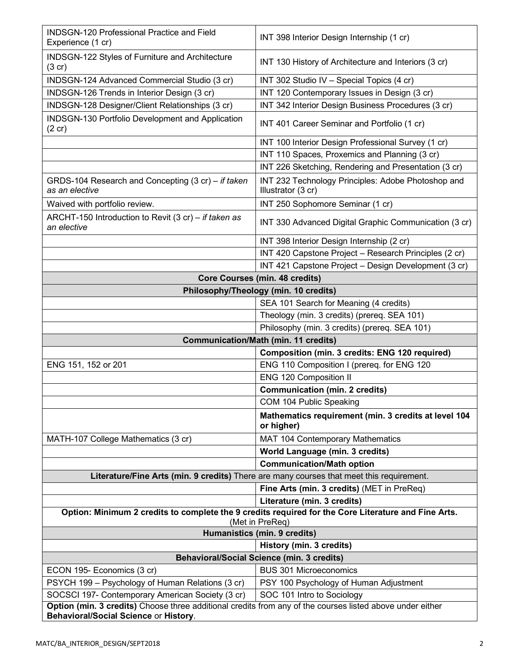| <b>INDSGN-120 Professional Practice and Field</b><br>Experience (1 cr)                                                                                        | INT 398 Interior Design Internship (1 cr)                                                                              |
|---------------------------------------------------------------------------------------------------------------------------------------------------------------|------------------------------------------------------------------------------------------------------------------------|
| INDSGN-122 Styles of Furniture and Architecture<br>$(3 \text{ cr})$                                                                                           | INT 130 History of Architecture and Interiors (3 cr)                                                                   |
| INDSGN-124 Advanced Commercial Studio (3 cr)                                                                                                                  | INT 302 Studio IV - Special Topics (4 cr)                                                                              |
| INDSGN-126 Trends in Interior Design (3 cr)                                                                                                                   | INT 120 Contemporary Issues in Design (3 cr)                                                                           |
| INDSGN-128 Designer/Client Relationships (3 cr)                                                                                                               | INT 342 Interior Design Business Procedures (3 cr)                                                                     |
| INDSGN-130 Portfolio Development and Application<br>$(2 \text{ cr})$                                                                                          | INT 401 Career Seminar and Portfolio (1 cr)                                                                            |
|                                                                                                                                                               | INT 100 Interior Design Professional Survey (1 cr)                                                                     |
|                                                                                                                                                               | INT 110 Spaces, Proxemics and Planning (3 cr)                                                                          |
|                                                                                                                                                               | INT 226 Sketching, Rendering and Presentation (3 cr)                                                                   |
| GRDS-104 Research and Concepting (3 cr) - if taken<br>as an elective                                                                                          | INT 232 Technology Principles: Adobe Photoshop and<br>Illustrator (3 cr)                                               |
| Waived with portfolio review.                                                                                                                                 | INT 250 Sophomore Seminar (1 cr)                                                                                       |
| ARCHT-150 Introduction to Revit (3 cr) - if taken as<br>an elective                                                                                           | INT 330 Advanced Digital Graphic Communication (3 cr)                                                                  |
|                                                                                                                                                               | INT 398 Interior Design Internship (2 cr)                                                                              |
|                                                                                                                                                               | INT 420 Capstone Project - Research Principles (2 cr)                                                                  |
|                                                                                                                                                               | INT 421 Capstone Project - Design Development (3 cr)                                                                   |
|                                                                                                                                                               | <b>Core Courses (min. 48 credits)</b>                                                                                  |
| Philosophy/Theology (min. 10 credits)                                                                                                                         |                                                                                                                        |
|                                                                                                                                                               | SEA 101 Search for Meaning (4 credits)                                                                                 |
|                                                                                                                                                               | Theology (min. 3 credits) (prereq. SEA 101)                                                                            |
|                                                                                                                                                               | Philosophy (min. 3 credits) (prereq. SEA 101)                                                                          |
| <b>Communication/Math (min. 11 credits)</b>                                                                                                                   |                                                                                                                        |
|                                                                                                                                                               | Composition (min. 3 credits: ENG 120 required)                                                                         |
|                                                                                                                                                               |                                                                                                                        |
| ENG 151, 152 or 201                                                                                                                                           | ENG 110 Composition I (prereq. for ENG 120                                                                             |
|                                                                                                                                                               | ENG 120 Composition II                                                                                                 |
|                                                                                                                                                               | <b>Communication (min. 2 credits)</b>                                                                                  |
|                                                                                                                                                               | COM 104 Public Speaking                                                                                                |
|                                                                                                                                                               | Mathematics requirement (min. 3 credits at level 104<br>or higher)                                                     |
| MATH-107 College Mathematics (3 cr)                                                                                                                           | MAT 104 Contemporary Mathematics                                                                                       |
|                                                                                                                                                               | <b>World Language (min. 3 credits)</b>                                                                                 |
|                                                                                                                                                               | <b>Communication/Math option</b>                                                                                       |
|                                                                                                                                                               | Literature/Fine Arts (min. 9 credits) There are many courses that meet this requirement.                               |
|                                                                                                                                                               | Fine Arts (min. 3 credits) (MET in PreReq)                                                                             |
|                                                                                                                                                               | Literature (min. 3 credits)                                                                                            |
|                                                                                                                                                               | Option: Minimum 2 credits to complete the 9 credits required for the Core Literature and Fine Arts.<br>(Met in PreReq) |
|                                                                                                                                                               | <b>Humanistics (min. 9 credits)</b>                                                                                    |
|                                                                                                                                                               | History (min. 3 credits)                                                                                               |
|                                                                                                                                                               | <b>Behavioral/Social Science (min. 3 credits)</b>                                                                      |
| ECON 195- Economics (3 cr)                                                                                                                                    | <b>BUS 301 Microeconomics</b>                                                                                          |
| PSYCH 199 - Psychology of Human Relations (3 cr)                                                                                                              | PSY 100 Psychology of Human Adjustment                                                                                 |
| SOCSCI 197- Contemporary American Society (3 cr)<br>Option (min. 3 credits) Choose three additional credits from any of the courses listed above under either | SOC 101 Intro to Sociology                                                                                             |